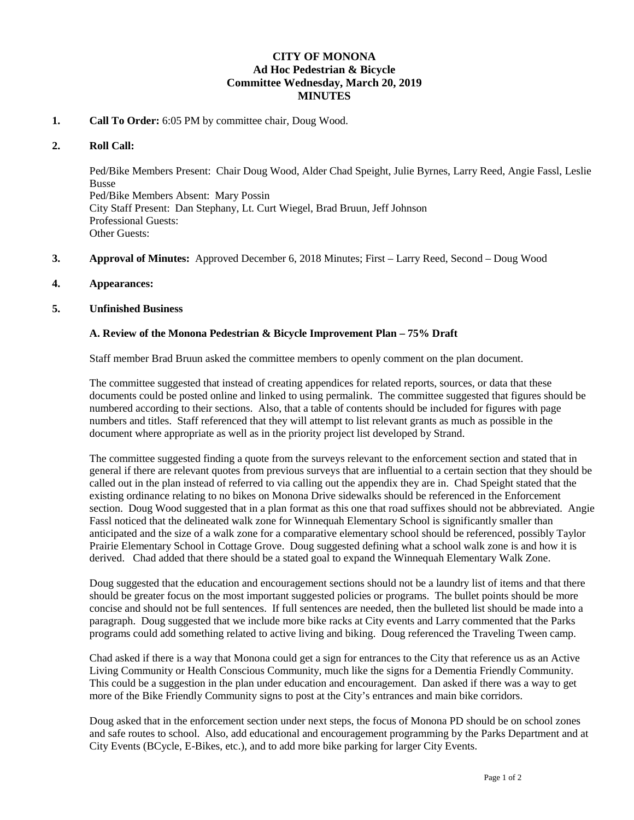## **CITY OF MONONA Ad Hoc Pedestrian & Bicycle Committee Wednesday, March 20, 2019 MINUTES**

### **1. Call To Order:** 6:05 PM by committee chair, Doug Wood.

#### **2. Roll Call:**

Ped/Bike Members Present: Chair Doug Wood, Alder Chad Speight, Julie Byrnes, Larry Reed, Angie Fassl, Leslie Busse Ped/Bike Members Absent: Mary Possin City Staff Present: Dan Stephany, Lt. Curt Wiegel, Brad Bruun, Jeff Johnson Professional Guests: Other Guests:

- **3. Approval of Minutes:** Approved December 6, 2018 Minutes; First Larry Reed, Second Doug Wood
- **4. Appearances:**

### **5. Unfinished Business**

### **A. Review of the Monona Pedestrian & Bicycle Improvement Plan – 75% Draft**

Staff member Brad Bruun asked the committee members to openly comment on the plan document.

The committee suggested that instead of creating appendices for related reports, sources, or data that these documents could be posted online and linked to using permalink. The committee suggested that figures should be numbered according to their sections. Also, that a table of contents should be included for figures with page numbers and titles. Staff referenced that they will attempt to list relevant grants as much as possible in the document where appropriate as well as in the priority project list developed by Strand.

The committee suggested finding a quote from the surveys relevant to the enforcement section and stated that in general if there are relevant quotes from previous surveys that are influential to a certain section that they should be called out in the plan instead of referred to via calling out the appendix they are in. Chad Speight stated that the existing ordinance relating to no bikes on Monona Drive sidewalks should be referenced in the Enforcement section. Doug Wood suggested that in a plan format as this one that road suffixes should not be abbreviated. Angie Fassl noticed that the delineated walk zone for Winnequah Elementary School is significantly smaller than anticipated and the size of a walk zone for a comparative elementary school should be referenced, possibly Taylor Prairie Elementary School in Cottage Grove. Doug suggested defining what a school walk zone is and how it is derived. Chad added that there should be a stated goal to expand the Winnequah Elementary Walk Zone.

Doug suggested that the education and encouragement sections should not be a laundry list of items and that there should be greater focus on the most important suggested policies or programs. The bullet points should be more concise and should not be full sentences. If full sentences are needed, then the bulleted list should be made into a paragraph. Doug suggested that we include more bike racks at City events and Larry commented that the Parks programs could add something related to active living and biking. Doug referenced the Traveling Tween camp.

Chad asked if there is a way that Monona could get a sign for entrances to the City that reference us as an Active Living Community or Health Conscious Community, much like the signs for a Dementia Friendly Community. This could be a suggestion in the plan under education and encouragement. Dan asked if there was a way to get more of the Bike Friendly Community signs to post at the City's entrances and main bike corridors.

Doug asked that in the enforcement section under next steps, the focus of Monona PD should be on school zones and safe routes to school. Also, add educational and encouragement programming by the Parks Department and at City Events (BCycle, E-Bikes, etc.), and to add more bike parking for larger City Events.